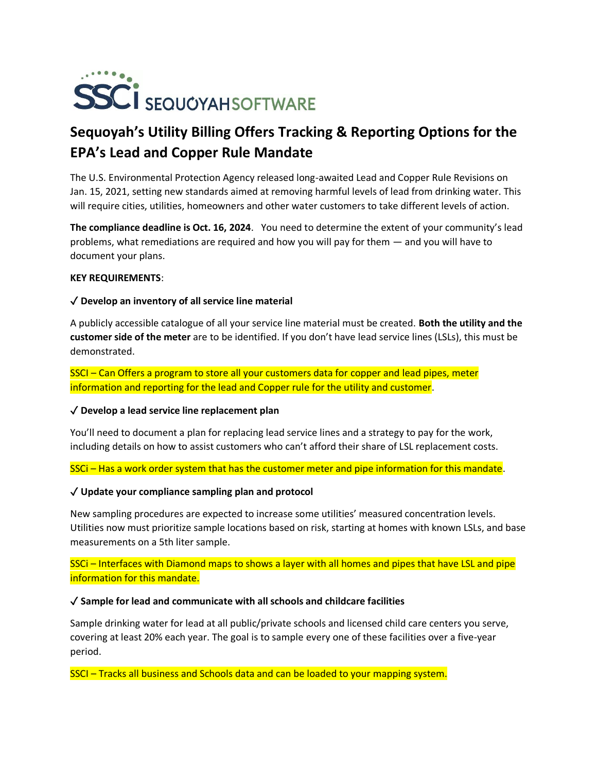

# **Sequoyah's Utility Billing Offers Tracking & Reporting Options for the EPA's Lead and Copper Rule Mandate**

The U.S. Environmental Protection Agency released long-awaited Lead and Copper Rule Revisions on Jan. 15, 2021, setting new standards aimed at removing harmful levels of lead from drinking water. This will require cities, utilities, homeowners and other water customers to take different levels of action.

**The compliance deadline is Oct. 16, 2024**. You need to determine the extent of your community's lead problems, what remediations are required and how you will pay for them — and you will have to document your plans.

#### **KEY REQUIREMENTS**:

## ✓ **Develop an inventory of all service line material**

A publicly accessible catalogue of all your service line material must be created. **Both the utility and the customer side of the meter** are to be identified. If you don't have lead service lines (LSLs), this must be demonstrated.

SSCI – Can Offers a program to store all your customers data for copper and lead pipes, meter information and reporting for the lead and Copper rule for the utility and customer.

## ✓ **Develop a lead service line replacement plan**

You'll need to document a plan for replacing lead service lines and a strategy to pay for the work, including details on how to assist customers who can't afford their share of LSL replacement costs.

SSCi – Has a work order system that has the customer meter and pipe information for this mandate.

## ✓ **Update your compliance sampling plan and protocol**

New sampling procedures are expected to increase some utilities' measured concentration levels. Utilities now must prioritize sample locations based on risk, starting at homes with known LSLs, and base measurements on a 5th liter sample.

SSCi – Interfaces with Diamond maps to shows a layer with all homes and pipes that have LSL and pipe information for this mandate.

#### ✓ **Sample for lead and communicate with all schools and childcare facilities**

Sample drinking water for lead at all public/private schools and licensed child care centers you serve, covering at least 20% each year. The goal is to sample every one of these facilities over a five-year period.

SSCI – Tracks all business and Schools data and can be loaded to your mapping system.